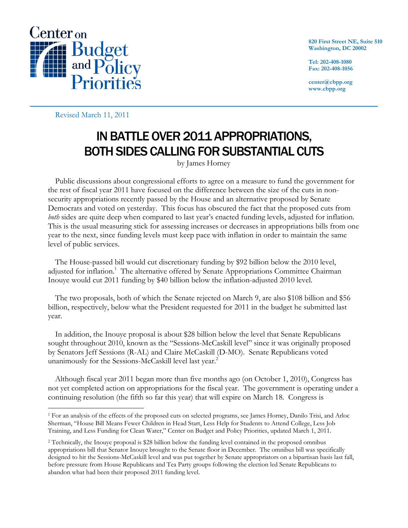

**820 First Street NE, Suite 510 Washington, DC 20002** 

**Tel: 202-408-1080 Fax: 202-408-1056** 

**center@cbpp.org www.cbpp.org** 

Revised March 11, 2011

## IN BATTLE OVER 2011 APPROPRIATIONS, BOTH SIDES CALLING FOR SUBSTANTIAL CUTS

by James Horney

Public discussions about congressional efforts to agree on a measure to fund the government for the rest of fiscal year 2011 have focused on the difference between the size of the cuts in nonsecurity appropriations recently passed by the House and an alternative proposed by Senate Democrats and voted on yesterday. This focus has obscured the fact that the proposed cuts from *both* sides are quite deep when compared to last year's enacted funding levels, adjusted for inflation. This is the usual measuring stick for assessing increases or decreases in appropriations bills from one year to the next, since funding levels must keep pace with inflation in order to maintain the same level of public services.

The House-passed bill would cut discretionary funding by \$92 billion below the 2010 level, adjusted for inflation.<sup>1</sup> The alternative offered by Senate Appropriations Committee Chairman Inouye would cut 2011 funding by \$40 billion below the inflation-adjusted 2010 level.

The two proposals, both of which the Senate rejected on March 9, are also \$108 billion and \$56 billion, respectively, below what the President requested for 2011 in the budget he submitted last year.

In addition, the Inouye proposal is about \$28 billion below the level that Senate Republicans sought throughout 2010, known as the "Sessions-McCaskill level" since it was originally proposed by Senators Jeff Sessions (R-AL) and Claire McCaskill (D-MO). Senate Republicans voted unanimously for the Sessions-McCaskill level last year.<sup>2</sup>

Although fiscal year 2011 began more than five months ago (on October 1, 2010), Congress has not yet completed action on appropriations for the fiscal year. The government is operating under a continuing resolution (the fifth so far this year) that will expire on March 18. Congress is

 $\overline{a}$ 1 For an analysis of the effects of the proposed cuts on selected programs, see James Horney, Danilo Trisi, and Arloc Sherman, "House Bill Means Fewer Children in Head Start, Less Help for Students to Attend College, Less Job Training, and Less Funding for Clean Water," Center on Budget and Policy Priorities, updated March 1, 2011.

<sup>2</sup> Technically, the Inouye proposal is \$28 billion below the funding level contained in the proposed omnibus appropriations bill that Senator Inouye brought to the Senate floor in December. The omnibus bill was specifically designed to hit the Sessions-McCaskill level and was put together by Senate appropriators on a bipartisan basis last fall, before pressure from House Republicans and Tea Party groups following the election led Senate Republicans to abandon what had been their proposed 2011 funding level.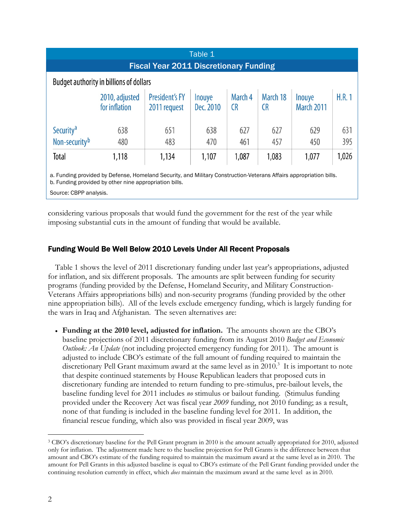| Table 1                                                                                                                                                                      |                                 |                                       |                     |                      |                       |                      |       |
|------------------------------------------------------------------------------------------------------------------------------------------------------------------------------|---------------------------------|---------------------------------------|---------------------|----------------------|-----------------------|----------------------|-------|
| <b>Fiscal Year 2011 Discretionary Funding</b>                                                                                                                                |                                 |                                       |                     |                      |                       |                      |       |
| Budget authority in billions of dollars                                                                                                                                      |                                 |                                       |                     |                      |                       |                      |       |
|                                                                                                                                                                              | 2010, adjusted<br>for inflation | <b>President's FY</b><br>2011 request | Inouye<br>Dec. 2010 | March 4<br><b>CR</b> | March 18<br><b>CR</b> | Inouye<br>March 2011 | H.R.1 |
| Security <sup>a</sup>                                                                                                                                                        | 638                             | 651                                   | 638                 | 627                  | 627                   | 629                  | 631   |
| Non-security <sup>b</sup>                                                                                                                                                    | 480                             | 483                                   | 470                 | 461                  | 457                   | 450                  | 395   |
| Total                                                                                                                                                                        | 1,118                           | 1,134                                 | 1,107               | 1,087                | 1,083                 | 1,077                | 1,026 |
| a. Funding provided by Defense, Homeland Security, and Military Construction-Veterans Affairs appropriation bills.<br>b. Funding provided by other nine appropriation bills. |                                 |                                       |                     |                      |                       |                      |       |

Source: CBPP analysis.

considering various proposals that would fund the government for the rest of the year while imposing substantial cuts in the amount of funding that would be available.

## Funding Would Be Well Below 2010 Levels Under All Recent Proposals

Table 1 shows the level of 2011 discretionary funding under last year's appropriations, adjusted for inflation, and six different proposals. The amounts are split between funding for security programs (funding provided by the Defense, Homeland Security, and Military Construction-Veterans Affairs appropriations bills) and non-security programs (funding provided by the other nine appropriation bills). All of the levels exclude emergency funding, which is largely funding for the wars in Iraq and Afghanistan. The seven alternatives are:

 **Funding at the 2010 level, adjusted for inflation.** The amounts shown are the CBO's baseline projections of 2011 discretionary funding from its August 2010 *Budget and Economic Outlook: An Update* (not including projected emergency funding for 2011). The amount is adjusted to include CBO's estimate of the full amount of funding required to maintain the discretionary Pell Grant maximum award at the same level as in 2010.<sup>3</sup> It is important to note that despite continued statements by House Republican leaders that proposed cuts in discretionary funding are intended to return funding to pre-stimulus, pre-bailout levels, the baseline funding level for 2011 includes *no* stimulus or bailout funding. (Stimulus funding provided under the Recovery Act was fiscal year *2009* funding, not 2010 funding; as a result, none of that funding is included in the baseline funding level for 2011. In addition, the financial rescue funding, which also was provided in fiscal year 2009, was

 $\overline{a}$ 

<sup>3</sup> CBO's discretionary baseline for the Pell Grant program in 2010 is the amount actually appropriated for 2010, adjusted only for inflation. The adjustment made here to the baseline projection for Pell Grants is the difference between that amount and CBO's estimate of the funding required to maintain the maximum award at the same level as in 2010. The amount for Pell Grants in this adjusted baseline is equal to CBO's estimate of the Pell Grant funding provided under the continuing resolution currently in effect, which *does* maintain the maximum award at the same level as in 2010.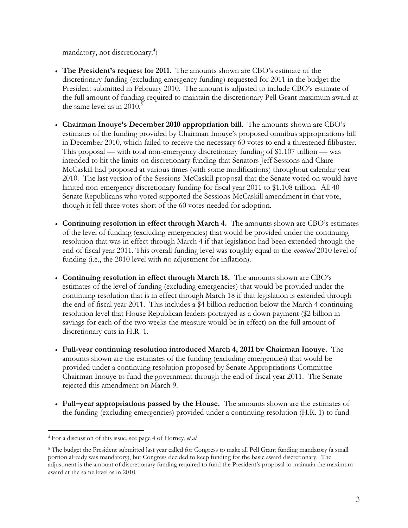mandatory, not discretionary.<sup>4</sup>)

- **The President's request for 2011.** The amounts shown are CBO's estimate of the discretionary funding (excluding emergency funding) requested for 2011 in the budget the President submitted in February 2010. The amount is adjusted to include CBO's estimate of the full amount of funding required to maintain the discretionary Pell Grant maximum award at the same level as in  $2010<sup>5</sup>$
- **Chairman Inouye's December 2010 appropriation bill.** The amounts shown are CBO's estimates of the funding provided by Chairman Inouye's proposed omnibus appropriations bill in December 2010, which failed to receive the necessary 60 votes to end a threatened filibuster. This proposal — with total non-emergency discretionary funding of \$1.107 trillion — was intended to hit the limits on discretionary funding that Senators Jeff Sessions and Claire McCaskill had proposed at various times (with some modifications) throughout calendar year 2010. The last version of the Sessions-McCaskill proposal that the Senate voted on would have limited non-emergency discretionary funding for fiscal year 2011 to \$1.108 trillion. All 40 Senate Republicans who voted supported the Sessions-McCaskill amendment in that vote, though it fell three votes short of the 60 votes needed for adoption.
- **Continuing resolution in effect through March 4.** The amounts shown are CBO's estimates of the level of funding (excluding emergencies) that would be provided under the continuing resolution that was in effect through March 4 if that legislation had been extended through the end of fiscal year 2011. This overall funding level was roughly equal to the *nominal* 2010 level of funding (i.e., the 2010 level with no adjustment for inflation).
- **Continuing resolution in effect through March 18.** The amounts shown are CBO's estimates of the level of funding (excluding emergencies) that would be provided under the continuing resolution that is in effect through March 18 if that legislation is extended through the end of fiscal year 2011. This includes a \$4 billion reduction below the March 4 continuing resolution level that House Republican leaders portrayed as a down payment (\$2 billion in savings for each of the two weeks the measure would be in effect) on the full amount of discretionary cuts in H.R. 1.
- **Full-year continuing resolution introduced March 4, 2011 by Chairman Inouye.** The amounts shown are the estimates of the funding (excluding emergencies) that would be provided under a continuing resolution proposed by Senate Appropriations Committee Chairman Inouye to fund the government through the end of fiscal year 2011. The Senate rejected this amendment on March 9.
- **Full–year appropriations passed by the House.** The amounts shown are the estimates of the funding (excluding emergencies) provided under a continuing resolution (H.R. 1) to fund

<sup>-</sup>4 For a discussion of this issue, see page 4 of Horney, *et al.*

<sup>&</sup>lt;sup>5</sup> The budget the President submitted last year called for Congress to make all Pell Grant funding mandatory (a small portion already was mandatory), but Congress decided to keep funding for the basic award discretionary. The adjustment is the amount of discretionary funding required to fund the President's proposal to maintain the maximum award at the same level as in 2010.